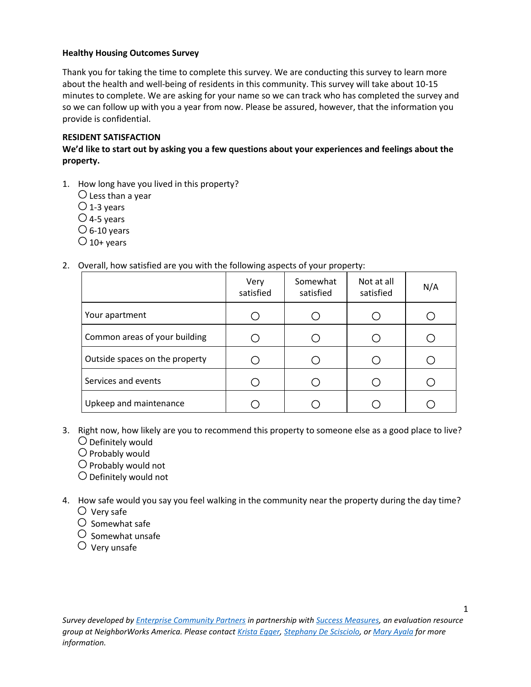# **Healthy Housing Outcomes Survey**

Thank you for taking the time to complete this survey. We are conducting this survey to learn more about the health and well-being of residents in this community. This survey will take about 10-15 minutes to complete. We are asking for your name so we can track who has completed the survey and so we can follow up with you a year from now. Please be assured, however, that the information you provide is confidential.

# **RESIDENT SATISFACTION**

**We'd like to start out by asking you a few questions about your experiences and feelings about the property.** 

1. How long have you lived in this property?

- $\bigcirc$  Less than a year
- $\bigcirc$  1-3 years
- $\bigcirc$  4-5 years
- $\circ$  6-10 years
- $\bigcirc$  10+ years
- 2. Overall, how satisfied are you with the following aspects of your property:

|                                | Very<br>satisfied | Somewhat<br>satisfied | Not at all<br>satisfied | N/A |
|--------------------------------|-------------------|-----------------------|-------------------------|-----|
| Your apartment                 |                   |                       |                         |     |
| Common areas of your building  |                   |                       |                         |     |
| Outside spaces on the property |                   |                       |                         |     |
| Services and events            |                   |                       |                         |     |
| Upkeep and maintenance         |                   |                       |                         |     |

- 3. Right now, how likely are you to recommend this property to someone else as a good place to live?  $\bigcirc$  Definitely would
	- $\bigcirc$  Probably would
	- $\bigcirc$  Probably would not
	- $\bigcirc$  Definitely would not
- 4. How safe would you say you feel walking in the community near the property during the day time?  $\bigcirc$  Very safe
	- $\bigcirc$  Somewhat safe
	- $\circ$  Somewhat unsafe
	- $\circlearrowright$  Very unsafe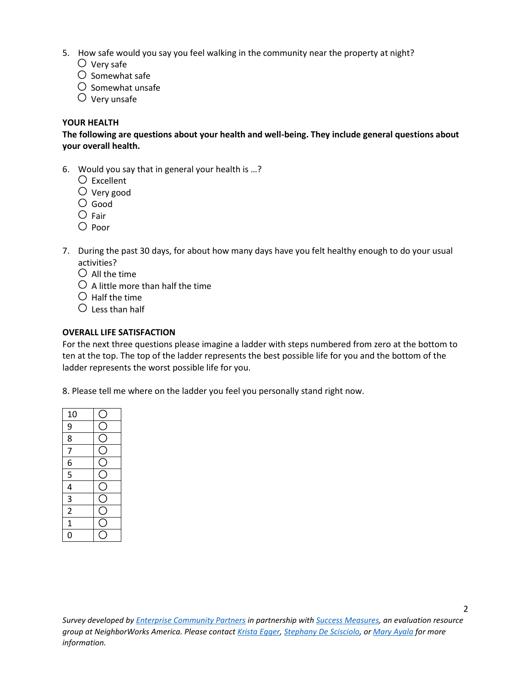- 5. How safe would you say you feel walking in the community near the property at night?
	- $\bigcirc$  Very safe
	- $\bigcirc$  Somewhat safe
	- $\bigcirc$  Somewhat unsafe
	- $\bigcirc$  Very unsafe

## **YOUR HEALTH**

**The following are questions about your health and well-being. They include general questions about your overall health.**

- 6. Would you say that in general your health is …?
	- $\bigcirc$  Excellent
	- Very good
	- Good
	- $\bigcirc$  Fair
	- $\bigcirc$  Poor
- 7. During the past 30 days, for about how many days have you felt healthy enough to do your usual activities?
	- $\bigcirc$  All the time
	- $\bigcirc$  A little more than half the time
	- $\bigcirc$  Half the time
	- $\bigcirc$  Less than half

### **OVERALL LIFE SATISFACTION**

For the next three questions please imagine a ladder with steps numbered from zero at the bottom to ten at the top. The top of the ladder represents the best possible life for you and the bottom of the ladder represents the worst possible life for you.

8. Please tell me where on the ladder you feel you personally stand right now.

| $\frac{10}{9}$ $\frac{9}{8}$              |  |
|-------------------------------------------|--|
| $\overline{7}$                            |  |
|                                           |  |
| $\frac{6}{5}$ $\frac{4}{3}$ $\frac{2}{2}$ |  |
|                                           |  |
|                                           |  |
|                                           |  |
| $\overline{1}$                            |  |
| 0                                         |  |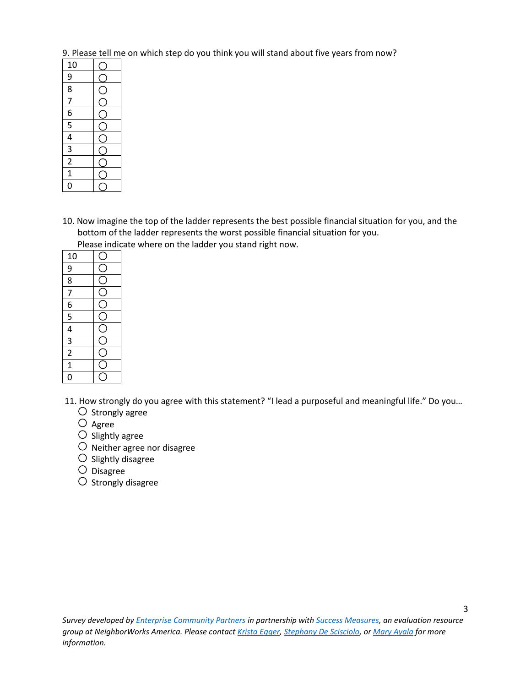9. Please tell me on which step do you think you will stand about five years from now?

| 10                                                                     |  |
|------------------------------------------------------------------------|--|
| $\frac{9}{8}$                                                          |  |
|                                                                        |  |
| $\overline{7}$                                                         |  |
|                                                                        |  |
|                                                                        |  |
|                                                                        |  |
|                                                                        |  |
| $\frac{16}{5}$ $\frac{5}{4}$ $\frac{4}{3}$ $\frac{2}{2}$ $\frac{1}{1}$ |  |
|                                                                        |  |
|                                                                        |  |

10. Now imagine the top of the ladder represents the best possible financial situation for you, and the bottom of the ladder represents the worst possible financial situation for you.

Please indicate where on the ladder you stand right now.

| 10                                                                                    |  |
|---------------------------------------------------------------------------------------|--|
|                                                                                       |  |
|                                                                                       |  |
|                                                                                       |  |
|                                                                                       |  |
|                                                                                       |  |
|                                                                                       |  |
|                                                                                       |  |
| $\frac{19}{8}$ $\frac{8}{7}$ $\frac{16}{6}$ $\frac{5}{4}$ $\frac{4}{3}$ $\frac{3}{2}$ |  |
| $\overline{1}$                                                                        |  |
| Ó                                                                                     |  |

11. How strongly do you agree with this statement? "I lead a purposeful and meaningful life." Do you…

- $\bigcirc$  Strongly agree
- $\bigcirc$  Agree
- $\bigcirc$  Slightly agree
- $\bigcirc$  Neither agree nor disagree
- $\bigcirc$  Slightly disagree
- $\bigcirc$  Disagree
- $\circ$  Strongly disagree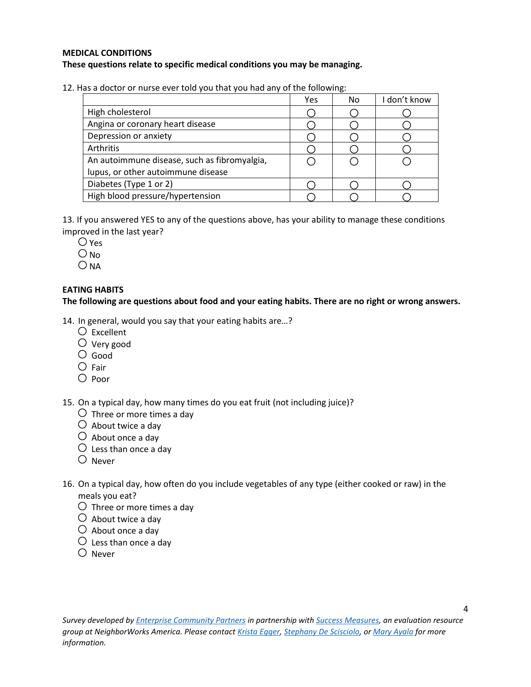### **MEDICAL CONDITIONS These questions relate to specific medical conditions you may be managing.**

12. Has a doctor or nurse ever told you that you had any of the following:

|                                              | Yes | No | I don't know |
|----------------------------------------------|-----|----|--------------|
| High cholesterol                             |     |    |              |
| Angina or coronary heart disease             |     |    |              |
| Depression or anxiety                        |     |    |              |
| Arthritis                                    |     |    |              |
| An autoimmune disease, such as fibromyalgia, |     |    |              |
| lupus, or other autoimmune disease           |     |    |              |
| Diabetes (Type 1 or 2)                       |     |    |              |
| High blood pressure/hypertension             |     |    |              |

13. If you answered YES to any of the questions above, has your ability to manage these conditions improved in the last year?

- $\bigcirc$  Yes
- $O$  No
- $O$  NA

# **EATING HABITS**

**The following are questions about food and your eating habits. There are no right or wrong answers.** 

14. In general, would you say that your eating habits are…?

- $\bigcirc$  Excellent
- $\bigcirc$  Very good
- $\circ$  Good
- $\bigcirc$  Fair
- $\bigcirc$  Poor

15. On a typical day, how many times do you eat fruit (not including juice)?

- $\bigcirc$  Three or more times a day
- $\bigcirc$  About twice a day
- $\bigcirc$  About once a day
- $\bigcirc$  Less than once a day
- $O$  Never
- 16. On a typical day, how often do you include vegetables of any type (either cooked or raw) in the meals you eat?
	- $\bigcirc$  Three or more times a day
	- $\bigcirc$  About twice a day
	- $\bigcirc$  About once a day
	- $\bigcirc$  Less than once a day
	- $\bigcirc$  Never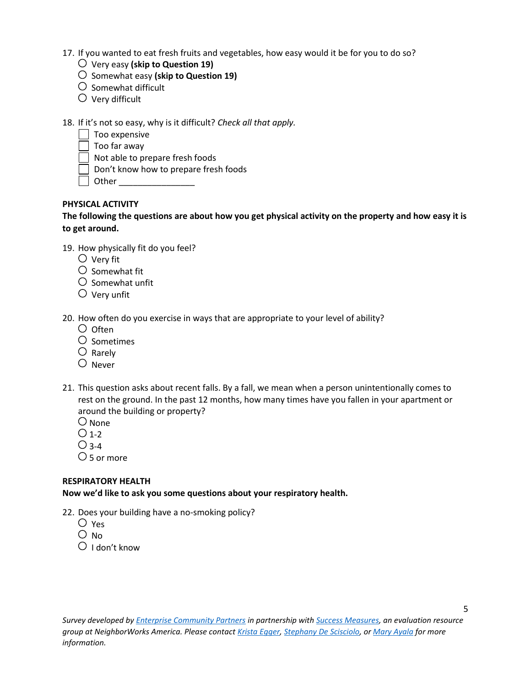- 17. If you wanted to eat fresh fruits and vegetables, how easy would it be for you to do so?
	- Very easy **(skip to Question 19)**
	- Somewhat easy **(skip to Question 19)**
	- $\bigcirc$  Somewhat difficult
	- $\bigcirc$  Very difficult
- 18. If it's not so easy, why is it difficult? *Check all that apply.*
	- $\Box$  Too expensive
		- Too far away
	- Not able to prepare fresh foods
	- Don't know how to prepare fresh foods
	- Other \_\_\_\_\_\_\_\_\_\_\_\_\_\_\_\_

# **PHYSICAL ACTIVITY**

**The following the questions are about how you get physical activity on the property and how easy it is to get around.** 

- 19. How physically fit do you feel?
	- $\bigcirc$  Verv fit
	- $\bigcirc$  Somewhat fit
	- $\bigcirc$  Somewhat unfit
	- $\bigcirc$  Very unfit

20. How often do you exercise in ways that are appropriate to your level of ability?

- $\bigcirc$  Often
- $\bigcirc$  Sometimes
- $\bigcirc$  Rarely
- $O$  Never
- 21. This question asks about recent falls. By a fall, we mean when a person unintentionally comes to rest on the ground. In the past 12 months, how many times have you fallen in your apartment or around the building or property?
	- $\bigcirc$  None
	- $\bigcirc$  1-2
	- $\bigcirc$  3-4
	- $\bigcirc$  5 or more

## **RESPIRATORY HEALTH**

**Now we'd like to ask you some questions about your respiratory health.** 

- 22. Does your building have a no-smoking policy?
	- Yes
	- $O$  No
	- $\bigcirc$  I don't know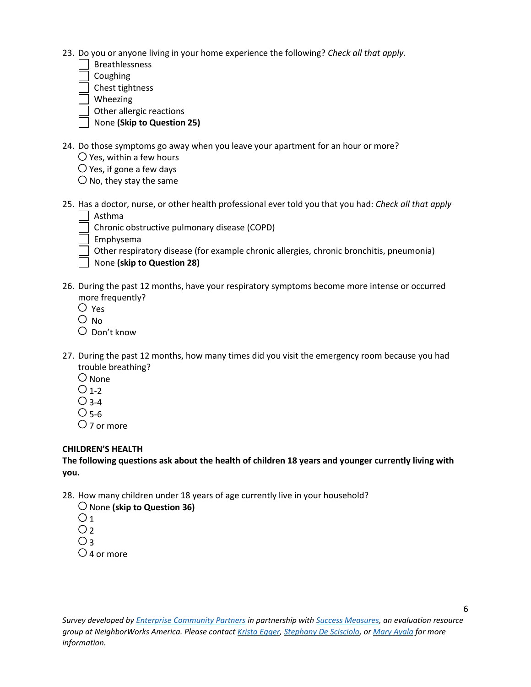- 23. Do you or anyone living in your home experience the following? *Check all that apply.*
	- Breathlessness
	- Coughing
	- Chest tightness
	- Wheezing
	- Other allergic reactions
	- None **(Skip to Question 25)**
- 24. Do those symptoms go away when you leave your apartment for an hour or more?
	- $\bigcirc$  Yes, within a few hours
	- $\bigcirc$  Yes, if gone a few days
	- $\bigcirc$  No, they stay the same
- 25. Has a doctor, nurse, or other health professional ever told you that you had: *Check all that apply* Asthma
	- Chronic obstructive pulmonary disease (COPD)
	- Emphysema
	- $\Box$  Other respiratory disease (for example chronic allergies, chronic bronchitis, pneumonia)
	- None **(skip to Question 28)**
- 26. During the past 12 months, have your respiratory symptoms become more intense or occurred more frequently?
	- Yes
	- $\overline{O}$  No
	- $\bigcirc$  Don't know
- 27. During the past 12 months, how many times did you visit the emergency room because you had trouble breathing?
	- $\bigcirc$  None
	- $O<sub>1-2</sub>$
	- $\bigcirc$  3-4
	- $O$  5-6
	- $\bigcirc$  7 or more

# **CHILDREN'S HEALTH**

**The following questions ask about the health of children 18 years and younger currently living with you.**

- 28. How many children under 18 years of age currently live in your household?
	- None **(skip to Question 36)**
	- $O<sub>1</sub>$
	- $O<sub>2</sub>$
	- $O<sub>3</sub>$
	- $\bigcirc$  4 or more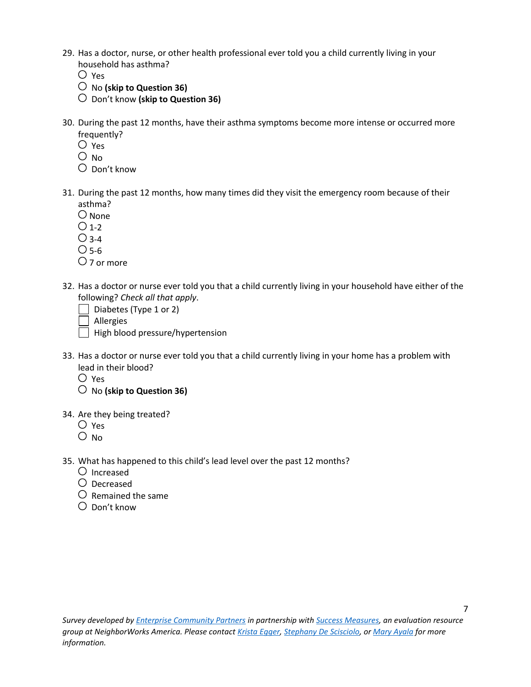- 29. Has a doctor, nurse, or other health professional ever told you a child currently living in your household has asthma?
	- $\overline{O}$  Yes
	- No **(skip to Question 36)**
	- Don't know **(skip to Question 36)**
- 30. During the past 12 months, have their asthma symptoms become more intense or occurred more frequently?
	- $\bigcirc$  Yes
	- $\bigcirc$  No
	- Don't know
- 31. During the past 12 months, how many times did they visit the emergency room because of their asthma?
	- $O$  None
	- $O<sub>1-2</sub>$
	- $\bigcirc$  3-4
	- $O$  5-6
	- $\bigcirc$  7 or more
- 32. Has a doctor or nurse ever told you that a child currently living in your household have either of the following? *Check all that apply*.
	- Diabetes (Type 1 or 2)
	- Allergies
	- $\Box$  High blood pressure/hypertension
- 33. Has a doctor or nurse ever told you that a child currently living in your home has a problem with lead in their blood?
	- $O$  Yes
	- No **(skip to Question 36)**
- 34. Are they being treated?
	- Yes
	- $O$  No.
- 35. What has happened to this child's lead level over the past 12 months?
	- $\bigcirc$  Increased
	- Decreased
	- $O$  Remained the same
	- $\bigcirc$  Don't know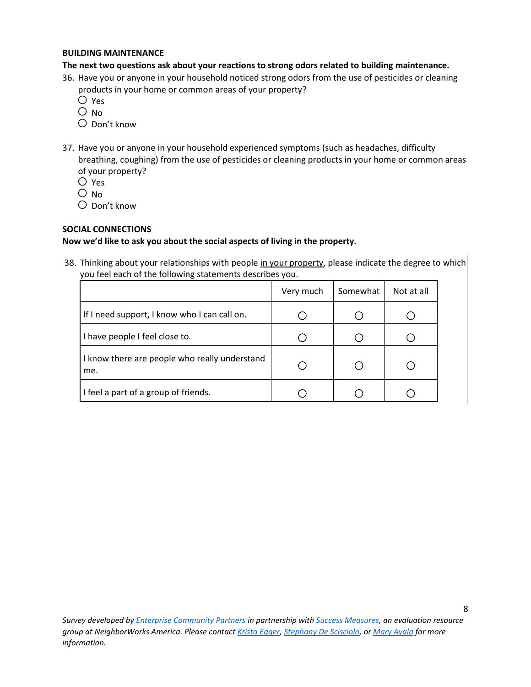#### **BUILDING MAINTENANCE**

### **The next two questions ask about your reactions to strong odors related to building maintenance.**

- 36. Have you or anyone in your household noticed strong odors from the use of pesticides or cleaning products in your home or common areas of your property?
	- Yes
	- $O$  No.
	- Don't know
- 37. Have you or anyone in your household experienced symptoms (such as headaches, difficulty breathing, coughing) from the use of pesticides or cleaning products in your home or common areas of your property?
	- Yes
	- $\bigcirc$  No
	- Don't know

# **SOCIAL CONNECTIONS**

## **Now we'd like to ask you about the social aspects of living in the property.**

38. Thinking about your relationships with people in your property, please indicate the degree to which you feel each of the following statements describes you.

|                                                      | Very much | Somewhat | Not at all |
|------------------------------------------------------|-----------|----------|------------|
| If I need support, I know who I can call on.         |           |          |            |
| I have people I feel close to.                       |           |          |            |
| I know there are people who really understand<br>me. |           |          |            |
| I feel a part of a group of friends.                 |           |          |            |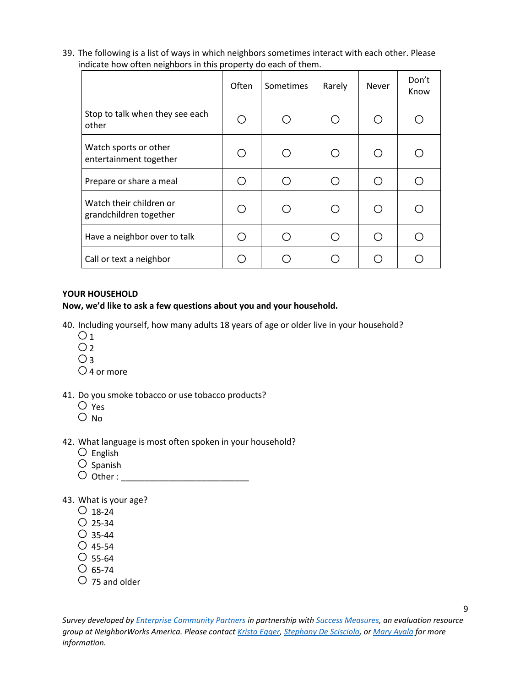39. The following is a list of ways in which neighbors sometimes interact with each other. Please indicate how often neighbors in this property do each of them.

|                                                   | Often | Sometimes | Rarely | Never                                       | Don't<br>Know |
|---------------------------------------------------|-------|-----------|--------|---------------------------------------------|---------------|
| Stop to talk when they see each<br>other          |       | ∩         |        | $\left(\begin{array}{c} \end{array}\right)$ |               |
| Watch sports or other<br>entertainment together   |       | ∩         |        |                                             |               |
| Prepare or share a meal                           |       | ⌒         |        | ( )                                         |               |
| Watch their children or<br>grandchildren together |       | ∩         |        | ( )                                         |               |
| Have a neighbor over to talk                      |       | ◯         |        |                                             |               |
| Call or text a neighbor                           |       |           |        |                                             |               |

### **YOUR HOUSEHOLD**

### **Now, we'd like to ask a few questions about you and your household.**

- 40. Including yourself, how many adults 18 years of age or older live in your household?
	- $O<sub>1</sub>$
	- $O<sub>2</sub>$
	- $O<sub>3</sub>$
	- $\bigcirc$  4 or more
- 41. Do you smoke tobacco or use tobacco products?
	- Yes
	- $O$  No
- 42. What language is most often spoken in your household?
	- $\bigcirc$  English
	- $\overline{O}$  Spanish
	- Other : \_\_\_\_\_\_\_\_\_\_\_\_\_\_\_\_\_\_\_\_\_\_\_\_\_\_\_
- 43. What is your age?
	- $\bigcirc$  18-24
	- $O$  25-34
	- $O$  35-44
	- $O$  45-54
	- $\circ$  55-64
	- $\circ$  65-74
	- $\bigcirc$  75 and older